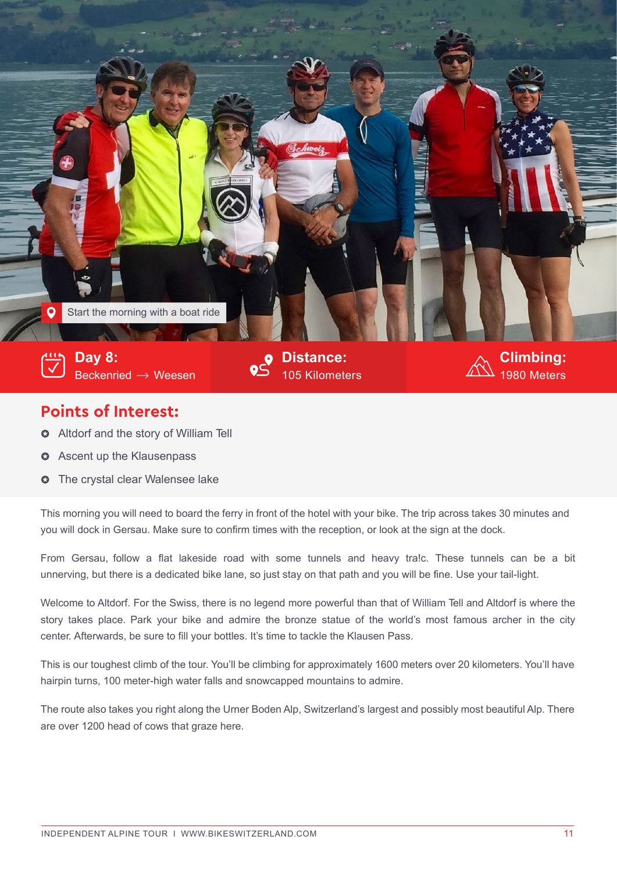

## **Points of Interest:**

- $\circ$  Altdorf and the story of William Tell
- **3** Ascent up the Klausenpass
- **O** The crystal clear Walensee lake

This morning you will need to board the ferry in front of the hotel with your bike. The trip across takes 30 minutes and you will dock in Gersau. Make sure to confirm times with the reception, or look at the sign at the dock.

From Gersau, follow a flat lakeside road with some tunnels and heavy tra!c. These tunnels can be a bit unnerving, but there is a dedicated bike lane, so just stay on that path and you will be fine. Use your tail-light.

Welcome to Altdorf. For the Swiss, there is no legend more powerful than that of William Tell and Altdorf is where the story takes place. Park your bike and admire the bronze statue of the world's most famous archer in the city center. Afterwards, be sure to fill your bottles. It's time to tackle the Klausen Pass.

This is our toughest climb of the tour. You'll be climbing for approximately 1600 meters over 20 kilometers. You'll have hairpin turns, 100 meter-high water falls and snowcapped mountains to admire.

The route also takes you right along the Urner Boden Alp, Switzerland's largest and possibly most beautiful Alp. There are over 1200 head of cows that graze here.